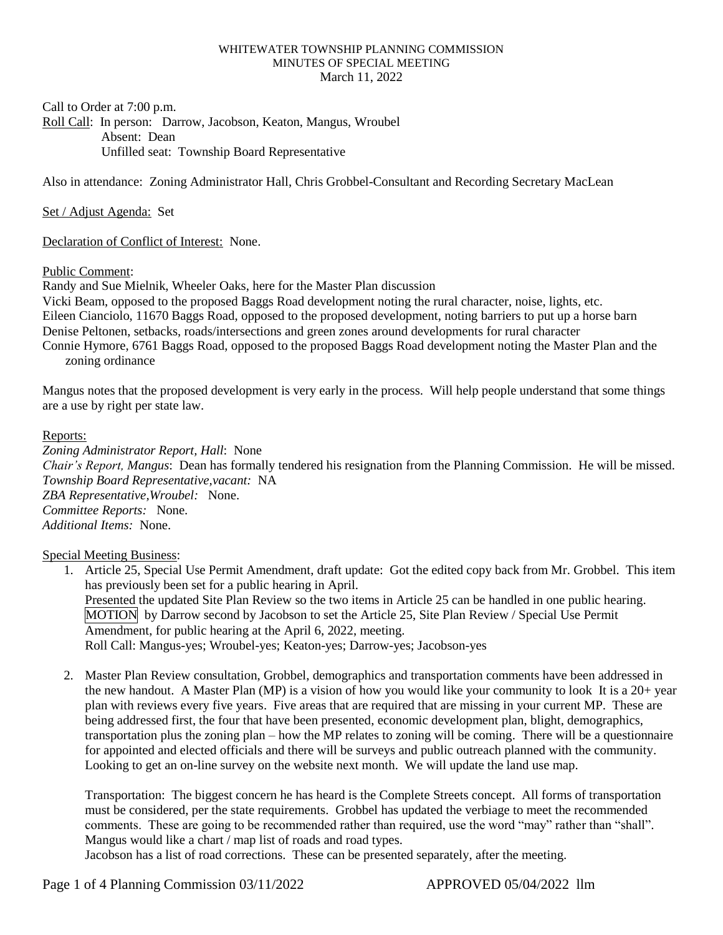## WHITEWATER TOWNSHIP PLANNING COMMISSION MINUTES OF SPECIAL MEETING March 11, 2022

Call to Order at 7:00 p.m.

Roll Call: In person: Darrow, Jacobson, Keaton, Mangus, Wroubel Absent: Dean Unfilled seat: Township Board Representative

Also in attendance: Zoning Administrator Hall, Chris Grobbel-Consultant and Recording Secretary MacLean

Set / Adjust Agenda: Set

Declaration of Conflict of Interest: None.

## Public Comment:

Randy and Sue Mielnik, Wheeler Oaks, here for the Master Plan discussion Vicki Beam, opposed to the proposed Baggs Road development noting the rural character, noise, lights, etc. Eileen Cianciolo, 11670 Baggs Road, opposed to the proposed development, noting barriers to put up a horse barn Denise Peltonen, setbacks, roads/intersections and green zones around developments for rural character Connie Hymore, 6761 Baggs Road, opposed to the proposed Baggs Road development noting the Master Plan and the

zoning ordinance

Mangus notes that the proposed development is very early in the process. Will help people understand that some things are a use by right per state law.

## Reports:

*Zoning Administrator Report, Hall*: None *Chair's Report, Mangus*: Dean has formally tendered his resignation from the Planning Commission. He will be missed. *Township Board Representative,vacant:* NA *ZBA Representative,Wroubel:* None. *Committee Reports:* None. *Additional Items:* None.

Special Meeting Business:

- 1. Article 25, Special Use Permit Amendment, draft update: Got the edited copy back from Mr. Grobbel. This item has previously been set for a public hearing in April. Presented the updated Site Plan Review so the two items in Article 25 can be handled in one public hearing. MOTION by Darrow second by Jacobson to set the Article 25, Site Plan Review / Special Use Permit Amendment, for public hearing at the April 6, 2022, meeting. Roll Call: Mangus-yes; Wroubel-yes; Keaton-yes; Darrow-yes; Jacobson-yes
- 2. Master Plan Review consultation, Grobbel, demographics and transportation comments have been addressed in the new handout. A Master Plan (MP) is a vision of how you would like your community to look It is a  $20+$  year plan with reviews every five years. Five areas that are required that are missing in your current MP. These are being addressed first, the four that have been presented, economic development plan, blight, demographics, transportation plus the zoning plan – how the MP relates to zoning will be coming. There will be a questionnaire for appointed and elected officials and there will be surveys and public outreach planned with the community. Looking to get an on-line survey on the website next month. We will update the land use map.

Transportation: The biggest concern he has heard is the Complete Streets concept. All forms of transportation must be considered, per the state requirements. Grobbel has updated the verbiage to meet the recommended comments. These are going to be recommended rather than required, use the word "may" rather than "shall". Mangus would like a chart / map list of roads and road types.

Jacobson has a list of road corrections. These can be presented separately, after the meeting.

Page 1 of 4 Planning Commission 03/11/2022 <br>APPROVED 05/04/2022 llm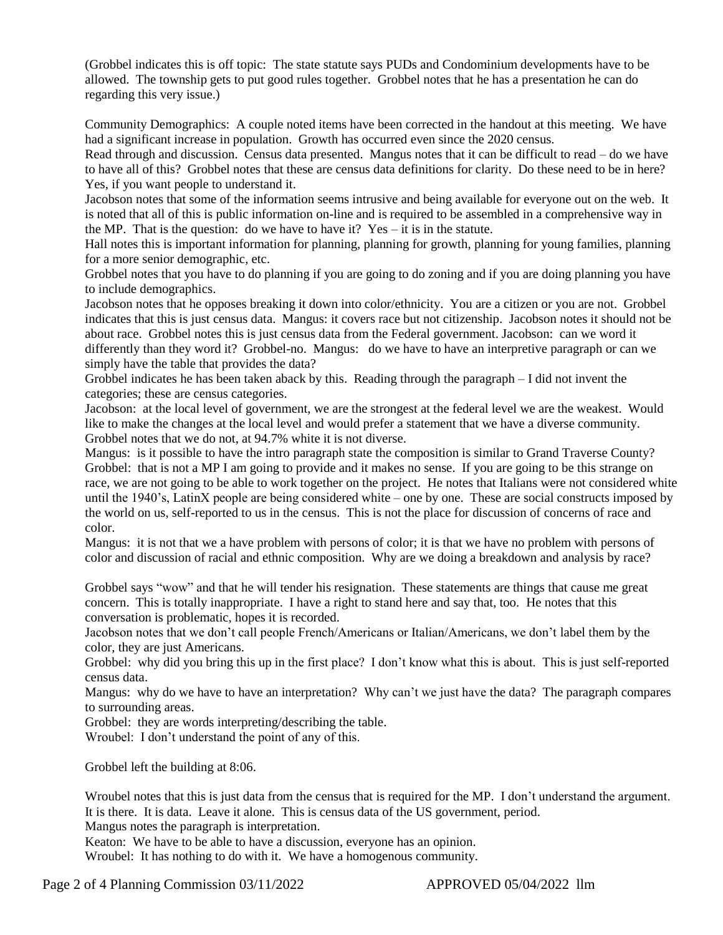(Grobbel indicates this is off topic: The state statute says PUDs and Condominium developments have to be allowed. The township gets to put good rules together. Grobbel notes that he has a presentation he can do regarding this very issue.)

Community Demographics: A couple noted items have been corrected in the handout at this meeting. We have had a significant increase in population. Growth has occurred even since the 2020 census.

Read through and discussion. Census data presented. Mangus notes that it can be difficult to read – do we have to have all of this? Grobbel notes that these are census data definitions for clarity. Do these need to be in here? Yes, if you want people to understand it.

Jacobson notes that some of the information seems intrusive and being available for everyone out on the web. It is noted that all of this is public information on-line and is required to be assembled in a comprehensive way in the MP. That is the question: do we have to have it?  $Yes - it$  is in the statute.

Hall notes this is important information for planning, planning for growth, planning for young families, planning for a more senior demographic, etc.

Grobbel notes that you have to do planning if you are going to do zoning and if you are doing planning you have to include demographics.

Jacobson notes that he opposes breaking it down into color/ethnicity. You are a citizen or you are not. Grobbel indicates that this is just census data. Mangus: it covers race but not citizenship. Jacobson notes it should not be about race. Grobbel notes this is just census data from the Federal government. Jacobson: can we word it differently than they word it? Grobbel-no. Mangus: do we have to have an interpretive paragraph or can we simply have the table that provides the data?

Grobbel indicates he has been taken aback by this. Reading through the paragraph – I did not invent the categories; these are census categories.

Jacobson: at the local level of government, we are the strongest at the federal level we are the weakest. Would like to make the changes at the local level and would prefer a statement that we have a diverse community. Grobbel notes that we do not, at 94.7% white it is not diverse.

Mangus: is it possible to have the intro paragraph state the composition is similar to Grand Traverse County? Grobbel: that is not a MP I am going to provide and it makes no sense. If you are going to be this strange on race, we are not going to be able to work together on the project. He notes that Italians were not considered white until the 1940's, LatinX people are being considered white – one by one. These are social constructs imposed by the world on us, self-reported to us in the census. This is not the place for discussion of concerns of race and color.

Mangus: it is not that we a have problem with persons of color; it is that we have no problem with persons of color and discussion of racial and ethnic composition. Why are we doing a breakdown and analysis by race?

Grobbel says "wow" and that he will tender his resignation. These statements are things that cause me great concern. This is totally inappropriate. I have a right to stand here and say that, too. He notes that this conversation is problematic, hopes it is recorded.

Jacobson notes that we don't call people French/Americans or Italian/Americans, we don't label them by the color, they are just Americans.

Grobbel: why did you bring this up in the first place? I don't know what this is about. This is just self-reported census data.

Mangus: why do we have to have an interpretation? Why can't we just have the data? The paragraph compares to surrounding areas.

Grobbel: they are words interpreting/describing the table.

Wroubel: I don't understand the point of any of this.

Grobbel left the building at 8:06.

Wroubel notes that this is just data from the census that is required for the MP. I don't understand the argument. It is there. It is data. Leave it alone. This is census data of the US government, period.

Mangus notes the paragraph is interpretation.

Keaton: We have to be able to have a discussion, everyone has an opinion.

Wroubel: It has nothing to do with it. We have a homogenous community.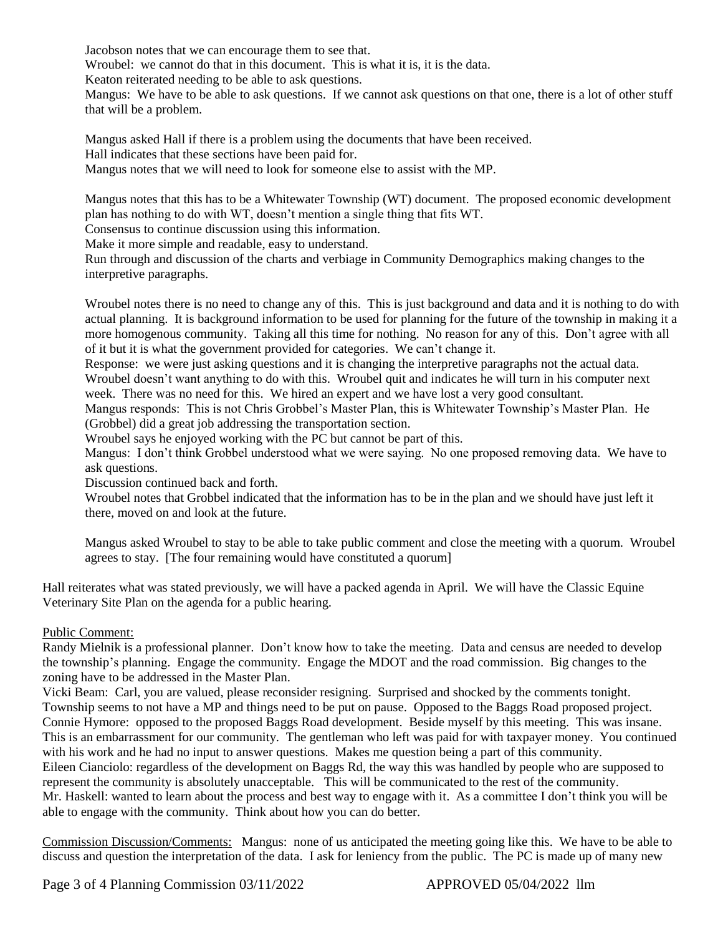Jacobson notes that we can encourage them to see that.

Wroubel: we cannot do that in this document. This is what it is, it is the data.

Keaton reiterated needing to be able to ask questions.

Mangus: We have to be able to ask questions. If we cannot ask questions on that one, there is a lot of other stuff that will be a problem.

Mangus asked Hall if there is a problem using the documents that have been received. Hall indicates that these sections have been paid for. Mangus notes that we will need to look for someone else to assist with the MP.

Mangus notes that this has to be a Whitewater Township (WT) document. The proposed economic development plan has nothing to do with WT, doesn't mention a single thing that fits WT.

Consensus to continue discussion using this information.

Make it more simple and readable, easy to understand.

Run through and discussion of the charts and verbiage in Community Demographics making changes to the interpretive paragraphs.

Wroubel notes there is no need to change any of this. This is just background and data and it is nothing to do with actual planning. It is background information to be used for planning for the future of the township in making it a more homogenous community. Taking all this time for nothing. No reason for any of this. Don't agree with all of it but it is what the government provided for categories. We can't change it.

Response: we were just asking questions and it is changing the interpretive paragraphs not the actual data. Wroubel doesn't want anything to do with this. Wroubel quit and indicates he will turn in his computer next week. There was no need for this. We hired an expert and we have lost a very good consultant.

Mangus responds: This is not Chris Grobbel's Master Plan, this is Whitewater Township's Master Plan. He (Grobbel) did a great job addressing the transportation section.

Wroubel says he enjoyed working with the PC but cannot be part of this.

Mangus: I don't think Grobbel understood what we were saying. No one proposed removing data. We have to ask questions.

Discussion continued back and forth.

Wroubel notes that Grobbel indicated that the information has to be in the plan and we should have just left it there, moved on and look at the future.

Mangus asked Wroubel to stay to be able to take public comment and close the meeting with a quorum. Wroubel agrees to stay. [The four remaining would have constituted a quorum]

Hall reiterates what was stated previously, we will have a packed agenda in April. We will have the Classic Equine Veterinary Site Plan on the agenda for a public hearing.

## Public Comment:

Randy Mielnik is a professional planner. Don't know how to take the meeting. Data and census are needed to develop the township's planning. Engage the community. Engage the MDOT and the road commission. Big changes to the zoning have to be addressed in the Master Plan.

Vicki Beam: Carl, you are valued, please reconsider resigning. Surprised and shocked by the comments tonight. Township seems to not have a MP and things need to be put on pause. Opposed to the Baggs Road proposed project. Connie Hymore: opposed to the proposed Baggs Road development. Beside myself by this meeting. This was insane. This is an embarrassment for our community. The gentleman who left was paid for with taxpayer money. You continued with his work and he had no input to answer questions. Makes me question being a part of this community. Eileen Cianciolo: regardless of the development on Baggs Rd, the way this was handled by people who are supposed to represent the community is absolutely unacceptable. This will be communicated to the rest of the community. Mr. Haskell: wanted to learn about the process and best way to engage with it. As a committee I don't think you will be able to engage with the community. Think about how you can do better.

Commission Discussion/Comments: Mangus: none of us anticipated the meeting going like this. We have to be able to discuss and question the interpretation of the data. I ask for leniency from the public. The PC is made up of many new

Page 3 of 4 Planning Commission 03/11/2022 <br>APPROVED 05/04/2022 llm